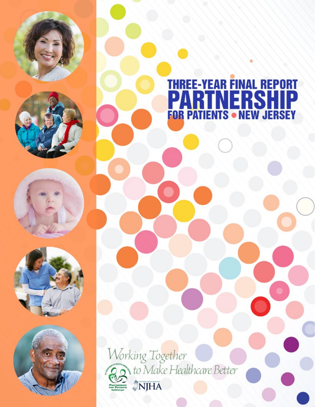

# THREE-YEAR FINAL REPORT<br>PARTNERSHIP<br>FOR PATIENTS • NEW JERSEY





Working Together to Make Healthcare Better NJHA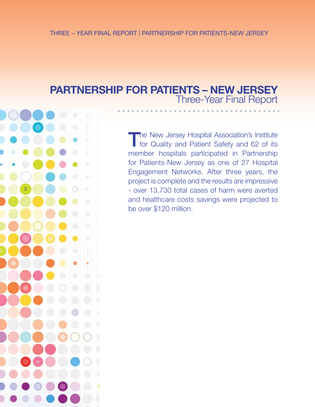# **PARTNERSHIP FOR PATIENTS – NEW JERSEY**  Three-Year Final Report



The New Jersey Hospital Association's Institute for Quality and Patient Safety and 62 of its member hospitals participated in Partnership for Patients-New Jersey as one of 27 Hospital Engagement Networks. After three years, the project is complete and the results are impressive - over 13,730 total cases of harm were averted and healthcare costs savings were projected to be over \$120 million.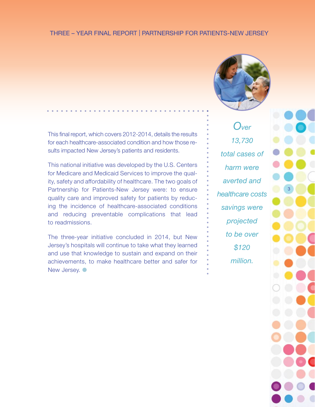# THREE – YEAR FINAL REPORT | PARTNERSHIP FOR PATIENTS-NEW JERSEY



This final report, which covers 2012-2014, details the results for each healthcare-associated condition and how those results impacted New Jersey's patients and residents.

This national initiative was developed by the U.S. Centers for Medicare and Medicaid Services to improve the quality, safety and affordability of healthcare. The two goals of Partnership for Patients-New Jersey were: to ensure quality care and improved safety for patients by reducing the incidence of healthcare-associated conditions and reducing preventable complications that lead to readmissions.

The three-year initiative concluded in 2014, but New Jersey's hospitals will continue to take what they learned and use that knowledge to sustain and expand on their achievements, to make healthcare better and safer for New Jersey.  $\bullet$ 

*Over 13,730 total cases of harm were averted and healthcare costs savings were projected to be over \$120 million.*

3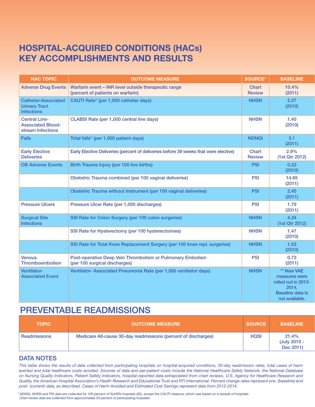# **HOSPITAL-ACQUIRED CONDITIONS (HACs) KEY ACCOMPLISHMENTS AND RESULTS** *Total cases of harm averted - 13,730 | Healthcare cost savings - About \$120 million*

| <b>HAC TOPIC</b>                                                        | <b>OUTCOME MEASURE</b>                                                                      | <b>SOURCE*</b>         | <b>BASELINE</b>                                                                                          |
|-------------------------------------------------------------------------|---------------------------------------------------------------------------------------------|------------------------|----------------------------------------------------------------------------------------------------------|
| <b>Adverse Drug Events</b>                                              | Warfarin event - INR level outside therapeutic range<br>(percent of patients on warfarin)   | Chart<br><b>Review</b> | 10.4%<br>(2011)                                                                                          |
| <b>Catheter-Associated</b><br><b>Urinary Tract</b><br><b>Infections</b> | CAUTI Rate* (per 1,000 catheter days)                                                       | <b>NHSN</b>            | 2.27<br>(2010)                                                                                           |
| <b>Central Line-</b><br><b>Associated Blood-</b><br>stream Infections   | CLABSI Rate (per 1,000 central line days)                                                   | <b>NHSN</b>            | 1.40<br>(2010)                                                                                           |
| Falls                                                                   | Total falls* (per 1,000 patient days)                                                       | <b>NDNQI</b>           | 3.1<br>(2011)                                                                                            |
| <b>Early Elective</b><br><b>Deliveries</b>                              | Early Elective Deliveries (percent of deliveries before 39 weeks that were elective)        | Chart<br><b>Review</b> | 2.9%<br>(1st Qtr 2012)                                                                                   |
| <b>OB Adverse Events</b>                                                | Birth Trauma Injury (per 100 live births)                                                   | <b>PSI</b>             | 0.23<br>(2010)                                                                                           |
|                                                                         | Obstetric Trauma combined (per 100 vaginal deliveries)                                      | <b>PSI</b>             | 14.85<br>(2011)                                                                                          |
|                                                                         | Obstetric Trauma without Instrument (per 100 vaginal deliveries)                            | <b>PSI</b>             | 2.45<br>(2011)                                                                                           |
| <b>Pressure Ulcers</b>                                                  | Pressure Ulcer Rate (per 1,000 discharges)                                                  | <b>PSI</b>             | 1.79<br>(2011)                                                                                           |
| <b>Surgical Site</b><br><b>Infections</b>                               | SSI Rate for Colon Surgery (per 100 colon surgeries)                                        | <b>NHSN</b>            | 4.34<br>(1st Qtr 2012)                                                                                   |
|                                                                         | SSI Rate for Hysterectomy (per 100 hysterectomies)                                          | <b>NHSN</b>            | 1.47<br>(2010)                                                                                           |
|                                                                         | SSI Rate for Total Knee Replacement Surgery (per 100 knee repl. surgeries)                  | <b>NHSN</b>            | 1.03<br>(2010)                                                                                           |
| <b>Venous</b><br>Thromboembolism                                        | Post-operative Deep Vein Thrombolism or Pulmonary Embolism<br>(per 100 surgical discharges) | <b>PSI</b>             | 0.73<br>(2011)                                                                                           |
| Ventilator-<br><b>Associated Event</b>                                  | Ventilator-Associated Pneumonia Rate (per 1,000 ventilator days)                            | <b>NHSN</b>            | ** New VAE<br>measures were<br>rolled out in 2013-<br>2014.<br><b>Baseline data is</b><br>not available. |

# PREVENTABLE READMISSIONS

| <b>TOPIC</b> | <b>OUTCOME MEASURE</b>                                         | <b>SOURCE</b> | <b>BASELINE</b>                    |
|--------------|----------------------------------------------------------------|---------------|------------------------------------|
| Readmissions | Medicare All-cause 30-day readmissions (percent of discharges) | <b>HQSI</b>   | 21.4%<br>(July 2010 -<br>Dec 2011) |

# DATA NOTES

*This table shows the results of data collected from participating hospitals on hospital-acquired conditions, 30-day readmission rates, total cases of harm averted and total healthcare costs avoided. Sources of data and per-patient costs include the National Healthcare Safety Network, the National Database on Nursing Quality Indicators, Patient Safety Indicators, hospital-reported data extrapolated from chart reviews, U.S. Agency for Healthcare Research and Quality, the American Hospital Association's Health Research and Educational Trust and RTI International. Percent change rates represent pre- (baseline) and post- (current) data, as described. Cases of Harm Avoided and Estimated Cost Savings represent data from 2012-2014.*

*\* NDNQI, NHSN and PSI data are collected for 100 percent of NJHEN hospitals (62), except the CAUTI measure, which was based on a sample of hospitals. Chart review data are collected from approximately 50 percent of participating hospitals.*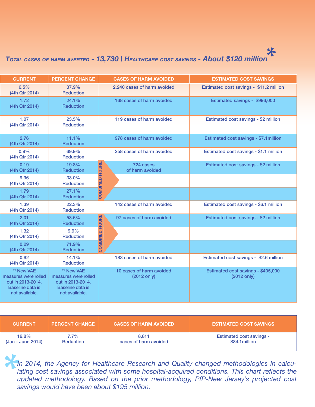# **KEY ACCOMPLISHMENTS AND RESULTS** *Total cases of harm averted - 13,730 | Healthcare cost savings - About \$120 million* **\***

| <b>CURRENT</b>                                                                                |  | <b>PERCENT CHANGE</b>                                                                                |               | <b>CASES OF HARM AVOIDED</b>                      | <b>ESTIMATED COST SAVINGS</b>                     |
|-----------------------------------------------------------------------------------------------|--|------------------------------------------------------------------------------------------------------|---------------|---------------------------------------------------|---------------------------------------------------|
| 6.5%<br>(4th Qtr 2014)                                                                        |  | 37.9%<br>Reduction                                                                                   |               | 2,240 cases of harm avoided                       | Estimated cost savings - \$11.2 million           |
| 1.72<br>(4th Qtr 2014)                                                                        |  | 24.1%<br>Reduction                                                                                   |               | 168 cases of harm avoided                         | Estimated savings - \$996,000                     |
| 1.07<br>(4th Qtr 2014)                                                                        |  | 23.5%<br><b>Reduction</b>                                                                            |               | 119 cases of harm avoided                         | Estimated cost savings - \$2 million              |
| 2.76<br>(4th Qtr 2014)                                                                        |  | 11.1%<br>Reduction                                                                                   |               | 978 cases of harm avoided                         | Estimated cost savings - \$7.1 million            |
| $0.9\%$<br>(4th Qtr 2014)                                                                     |  | 69.9%<br>Reduction                                                                                   |               | 258 cases of harm avoided                         | Estimated cost savings - \$1.1 million            |
| 0.19<br>(4th Qtr 2014)                                                                        |  | 19.8%<br>Reduction                                                                                   | <b>FIGURE</b> | 724 cases<br>of harm avoided                      | Estimated cost savings - \$2 million              |
| 9.96<br>(4th Qtr 2014)                                                                        |  | 33.0%<br>Reduction                                                                                   | 品             |                                                   |                                                   |
| 1.79<br>(4th Qtr 2014)                                                                        |  | 27.1%<br>Reduction                                                                                   | COMBIN        |                                                   |                                                   |
| 1.39<br>(4th Qtr 2014)                                                                        |  | 22.3%<br><b>Reduction</b>                                                                            |               | 142 cases of harm avoided                         | Estimated cost savings - \$6.1 million            |
| 2.01<br>(4th Qtr 2014)                                                                        |  | 53.6%<br>Reduction                                                                                   | <b>FIGURE</b> | 97 cases of harm avoided                          | Estimated cost savings - \$2 million              |
| 1.32<br>(4th Qtr 2014)                                                                        |  | 9.9%<br>Reduction                                                                                    | e             |                                                   |                                                   |
| 0.29<br>(4th Qtr 2014)                                                                        |  | 71.9%<br>Reduction                                                                                   | COMBIN        |                                                   |                                                   |
| 0.62<br>(4th Qtr 2014)                                                                        |  | 14.1%<br>Reduction                                                                                   |               | 183 cases of harm avoided                         | Estimated cost savings - \$2.6 million            |
| ** New VAE<br>measures were rolled<br>out in 2013-2014.<br>Baseline data is<br>not available. |  | ** New VAE<br>measures were rolled<br>out in 2013-2014.<br><b>Baseline data is</b><br>not available. |               | 10 cases of harm avoided<br>$(2012 \text{ only})$ | Estimated cost savings - \$405,000<br>(2012 only) |

| <b>CURRENT</b>    | <b>PERCENT CHANGE</b> | <b>CASES OF HARM AVOIDED</b> | <b>ESTIMATED COST SAVINGS</b>   |
|-------------------|-----------------------|------------------------------|---------------------------------|
| 19.8%             | 7.7%                  | $8,81$ <sup>-</sup>          | <b>Estimated cost savings -</b> |
| (Jan - June 2014) | Reduction             | cases of harm avoided        | \$84.1 million                  |

**t**<br> **t**<br> **la**<br> **u**<br> **s** *In 2014, the Agency for Healthcare Research and Quality changed methodologies in calculating cost savings associated with some hospital-acquired conditions. This chart reflects the updated methodology. Based on the prior methodology, PfP-New Jersey's projected cost savings would have been about \$195 million.*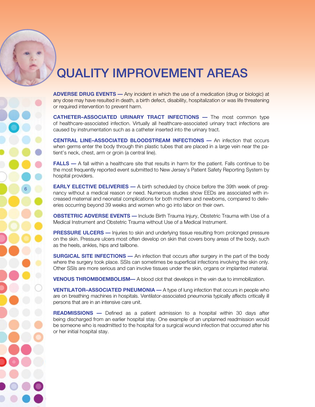# QUALITY IMPROVEMENT AREAS

**ADVERSE DRUG EVENTS —** Any incident in which the use of a medication (drug or biologic) at any dose may have resulted in death, a birth defect, disability, hospitalization or was life threatening or required intervention to prevent harm.

**CATHETER–ASSOCIATED URINARY TRACT INFECTIONS —** The most common type of healthcare-associated infection. Virtually all healthcare-associated urinary tract infections are caused by instrumentation such as a catheter inserted into the urinary tract.

**CENTRAL LINE–ASSOCIATED BLOODSTREAM INFECTIONS —** An infection that occurs when germs enter the body through thin plastic tubes that are placed in a large vein near the patient's neck, chest, arm or groin (a central line).

**FALLS —** A fall within a healthcare site that results in harm for the patient. Falls continue to be the most frequently reported event submitted to New Jersey's Patient Safety Reporting System by hospital providers.

**EARLY ELECTIVE DELIVERIES —** A birth scheduled by choice before the 39th week of pregnancy without a medical reason or need. Numerous studies show EEDs are associated with increased maternal and neonatal complications for both mothers and newborns, compared to deliveries occurring beyond 39 weeks and women who go into labor on their own.

**OBSTETRIC ADVERSE EVENTS —** Include Birth Trauma Injury, Obstetric Trauma with Use of a Medical Instrument and Obstetric Trauma without Use of a Medical Instrument.

**PRESSURE ULCERS** — Injuries to skin and underlying tissue resulting from prolonged pressure on the skin. Pressure ulcers most often develop on skin that covers bony areas of the body, such as the heels, ankles, hips and tailbone.

**SURGICAL SITE INFECTIONS —** An infection that occurs after surgery in the part of the body where the surgery took place. SSIs can sometimes be superficial infections involving the skin only. Other SSIs are more serious and can involve tissues under the skin, organs or implanted material.

**VENOUS THROMBOEMBOLISM—** A blood clot that develops in the vein due to immobilization.

**VENTILATOR–ASSOCIATED PNEUMONIA —** A type of lung infection that occurs in people who are on breathing machines in hospitals. Ventilator-associated pneumonia typically affects critically ill persons that are in an intensive care unit.

**READMISSIONS —** Defined as a patient admission to a hospital within 30 days after being discharged from an earlier hospital stay. One example of an unplanned readmission would be someone who is readmitted to the hospital for a surgical wound infection that occurred after his or her initial hospital stay.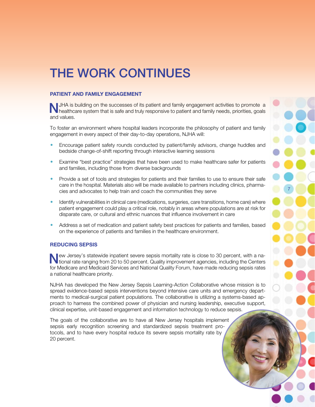# 7

# THE WORK CONTINUES

### **PATIENT AND FAMILY ENGAGEMENT**

NJHA is building on the successes of its patient and family engagement activities to promote a healthcare system that is safe and truly responsive to patient and family needs, priorities, goals and values.

To foster an environment where hospital leaders incorporate the philosophy of patient and family engagement in every aspect of their day-to-day operations, NJHA will:

- Encourage patient safety rounds conducted by patient/family advisors, change huddles and bedside change-of-shift reporting through interactive learning sessions
- Examine "best practice" strategies that have been used to make healthcare safer for patients and families, including those from diverse backgrounds
- Provide a set of tools and strategies for patients and their families to use to ensure their safe care in the hospital. Materials also will be made available to partners including clinics, pharmacies and advocates to help train and coach the communities they serve
- Identify vulnerabilities in clinical care (medications, surgeries, care transitions, home care) where patient engagement could play a critical role, notably in areas where populations are at risk for disparate care, or cultural and ethnic nuances that influence involvement in care
- Address a set of medication and patient safety best practices for patients and families, based on the experience of patients and families in the healthcare environment.

### **REDUCING SEPSIS**

New Jersey's statewide inpatient severe sepsis mortality rate is close to 30 percent, with a na-tional rate ranging from 20 to 50 percent. Quality improvement agencies, including the Centers for Medicare and Medicaid Services and National Quality Forum, have made reducing sepsis rates a national healthcare priority.

NJHA has developed the New Jersey Sepsis Learning-Action Collaborative whose mission is to spread evidence-based sepsis interventions beyond intensive care units and emergency departments to medical-surgical patient populations. The collaborative is utilizing a systems-based approach to harness the combined power of physician and nursing leadership, executive support, clinical expertise, unit-based engagement and information technology to reduce sepsis.

The goals of the collaborative are to have all New Jersey hospitals implement sepsis early recognition screening and standardized sepsis treatment protocols, and to have every hospital reduce its severe sepsis mortality rate by 20 percent.